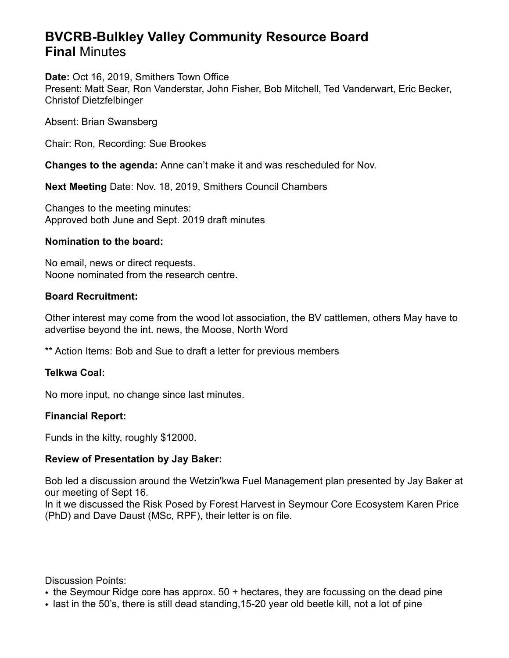# **BVCRB-Bulkley Valley Community Resource Board Final** Minutes

#### **Date:** Oct 16, 2019, Smithers Town Office

Present: Matt Sear, Ron Vanderstar, John Fisher, Bob Mitchell, Ted Vanderwart, Eric Becker, Christof Dietzfelbinger

Absent: Brian Swansberg

Chair: Ron, Recording: Sue Brookes

**Changes to the agenda:** Anne can't make it and was rescheduled for Nov.

**Next Meeting** Date: Nov. 18, 2019, Smithers Council Chambers

Changes to the meeting minutes: Approved both June and Sept. 2019 draft minutes

## **Nomination to the board:**

No email, news or direct requests. Noone nominated from the research centre.

## **Board Recruitment:**

Other interest may come from the wood lot association, the BV cattlemen, others May have to advertise beyond the int. news, the Moose, North Word

\*\* Action Items: Bob and Sue to draft a letter for previous members

#### **Telkwa Coal:**

No more input, no change since last minutes.

#### **Financial Report:**

Funds in the kitty, roughly \$12000.

#### **Review of Presentation by Jay Baker:**

Bob led a discussion around the Wetzin'kwa Fuel Management plan presented by Jay Baker at our meeting of Sept 16.

In it we discussed the Risk Posed by Forest Harvest in Seymour Core Ecosystem Karen Price (PhD) and Dave Daust (MSc, RPF), their letter is on file.

Discussion Points:

- the Seymour Ridge core has approx. 50 + hectares, they are focussing on the dead pine
- last in the 50's, there is still dead standing, 15-20 year old beetle kill, not a lot of pine